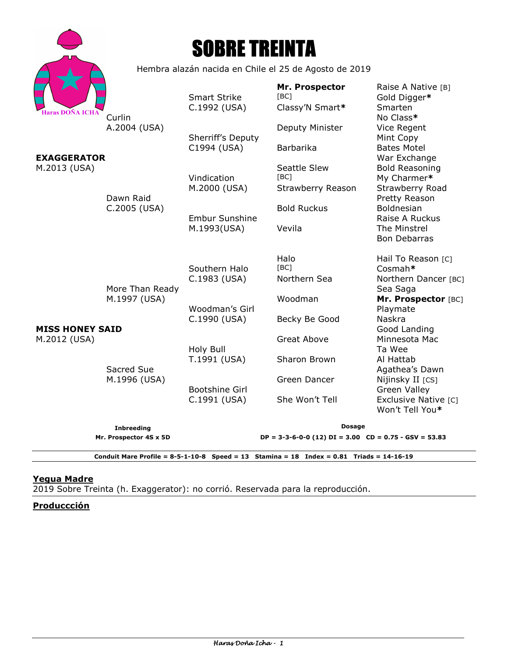|                                        |                                                       | <b>SOBRE TREINTA</b>                                                                                                                                                       |                                           |                                                                                      |
|----------------------------------------|-------------------------------------------------------|----------------------------------------------------------------------------------------------------------------------------------------------------------------------------|-------------------------------------------|--------------------------------------------------------------------------------------|
|                                        | Hembra alazán nacida en Chile el 25 de Agosto de 2019 |                                                                                                                                                                            |                                           |                                                                                      |
| <b>Haras DOÑA ICHA</b>                 | Curlin                                                | <b>Smart Strike</b><br>C.1992 (USA)                                                                                                                                        | Mr. Prospector<br>[BC]<br>Classy'N Smart* | Raise A Native [B]<br>Gold Digger*<br>Smarten<br>No Class*                           |
|                                        | A.2004 (USA)                                          | Sherriff's Deputy<br>C1994 (USA)                                                                                                                                           | Deputy Minister<br>Barbarika              | Vice Regent<br>Mint Copy<br><b>Bates Motel</b>                                       |
| <b>EXAGGERATOR</b><br>M.2013 (USA)     |                                                       | Vindication<br>M.2000 (USA)                                                                                                                                                | Seattle Slew<br>[BC]<br>Strawberry Reason | War Exchange<br><b>Bold Reasoning</b><br>My Charmer*<br>Strawberry Road              |
| <b>MISS HONEY SAID</b><br>M.2012 (USA) | Dawn Raid<br>C.2005 (USA)                             | <b>Embur Sunshine</b><br>M.1993(USA)                                                                                                                                       | <b>Bold Ruckus</b><br>Vevila              | Pretty Reason<br>Boldnesian<br>Raise A Ruckus<br>The Minstrel<br><b>Bon Debarras</b> |
|                                        | More Than Ready                                       | Southern Halo<br>C.1983 (USA)                                                                                                                                              | Halo<br>[BC]<br>Northern Sea              | Hail To Reason [C]<br>Cosmah*<br>Northern Dancer [BC]<br>Sea Saga                    |
|                                        | M.1997 (USA)<br>Sacred Sue<br>M.1996 (USA)            | Woodman's Girl<br>C.1990 (USA)                                                                                                                                             | Woodman<br>Becky Be Good                  | Mr. Prospector [BC]<br>Playmate<br>Naskra                                            |
|                                        |                                                       | Holy Bull<br>T.1991 (USA)                                                                                                                                                  | Great Above<br>Sharon Brown               | Good Landing<br>Minnesota Mac<br>Ta Wee<br>Al Hattab                                 |
|                                        |                                                       | <b>Bootshine Girl</b>                                                                                                                                                      | Green Dancer                              | Agathea's Dawn<br>Nijinsky II [CS]<br><b>Green Valley</b>                            |
|                                        |                                                       | C.1991 (USA)                                                                                                                                                               | She Won't Tell                            | Exclusive Native [C]<br>Won't Tell You*                                              |
|                                        | <b>Inbreeding</b><br>Mr. Prospector 4S x 5D           | <b>Dosage</b><br>$DP = 3-3-6-0-0$ (12) $DI = 3.00$ $CD = 0.75 - GSV = 53.83$<br>Conduit Mare Profile = $8-5-1-10-8$ Speed = 13 Stamina = 18 Index = 0.81 Triads = 14-16-19 |                                           |                                                                                      |

# **Yegua Madre**

2019 Sobre Treinta (h. Exaggerator): no corrió. Reservada para la reproducción.

**Produccción**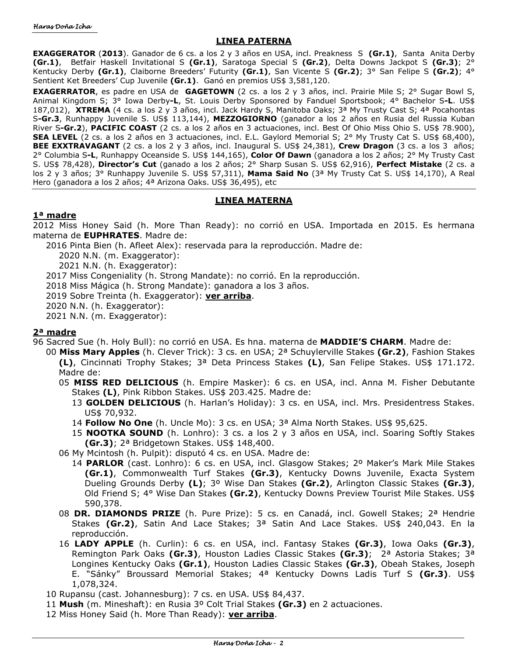## **LINEA PATERNA**

**EXAGGERATOR** (**2013**). Ganador de 6 cs. a los 2 y 3 años en USA, incl. Preakness S **(Gr.1)**, Santa Anita Derby **(Gr.1)**, Betfair Haskell Invitational S **(Gr.1)**, Saratoga Special S **(Gr.2)**, Delta Downs Jackpot S **(Gr.3)**; 2° Kentucky Derby **(Gr.1)**, Claiborne Breeders' Futurity **(Gr.1)**, San Vicente S **(Gr.2)**; 3° San Felipe S **(Gr.2)**; 4° Sentient Ket Breeders' Cup Juvenile **(Gr.1)**. Ganó en premios US\$ 3,581,120.

**EXAGERRATOR**, es padre en USA de **GAGETOWN** (2 cs. a los 2 y 3 años, incl. Prairie Mile S; 2° Sugar Bowl S, Animal Kingdom S; 3° Iowa Derby**-L**, St. Louis Derby Sponsored by Fanduel Sportsbook; 4° Bachelor S**-L**. US\$ 187,012), **XTREMA** (4 cs. a los 2 y 3 años, incl. Jack Hardy S, Manitoba Oaks; 3ª My Trusty Cast S; 4ª Pocahontas S**-Gr.3**, Runhappy Juvenile S. US\$ 113,144), **MEZZOGIORNO** (ganador a los 2 años en Rusia del Russia Kuban River S**-Gr.2**), **PACIFIC COAST** (2 cs. a los 2 años en 3 actuaciones, incl. Best Of Ohio Miss Ohio S. US\$ 78.900), **SEA LEVEL** (2 cs. a los 2 años en 3 actuaciones, incl. E.L. Gaylord Memorial S; 2° My Trusty Cat S. US\$ 68,400), **BEE EXXTRAVAGANT** (2 cs. a los 2 y 3 años, incl. Inaugural S. US\$ 24,381), **Crew Dragon** (3 cs. a los 3 años; 2° Columbia S**-L**, Runhappy Oceanside S. US\$ 144,165), **Color Of Dawn** (ganadora a los 2 años; 2° My Trusty Cast S. US\$ 78,428), **Director's Cut** (ganado a los 2 años; 2° Sharp Susan S. US\$ 62,916), **Perfect Mistake** (2 cs. a los 2 y 3 años; 3° Runhappy Juvenile S. US\$ 57,311), **Mama Said No** (3ª My Trusty Cat S. US\$ 14,170), A Real Hero (ganadora a los 2 años; 4ª Arizona Oaks. US\$ 36,495), etc

## **LINEA MATERNA**

## **1ª madre**

2012 Miss Honey Said (h. More Than Ready): no corrió en USA. Importada en 2015. Es hermana materna de **EUPHRATES**. Madre de:

2016 Pinta Bien (h. Afleet Alex): reservada para la reproducción. Madre de:

2020 N.N. (m. Exaggerator):

- 2021 N.N. (h. Exaggerator):
- 2017 Miss Congeniality (h. Strong Mandate): no corrió. En la reproducción.

2018 Miss Mágica (h. Strong Mandate): ganadora a los 3 años.

2019 Sobre Treinta (h. Exaggerator): **ver arriba**.

2020 N.N. (h. Exaggerator):

2021 N.N. (m. Exaggerator):

## **2ª madre**

- 96 Sacred Sue (h. Holy Bull): no corrió en USA. Es hna. materna de **MADDIE'S CHARM**. Madre de:
	- 00 **Miss Mary Apples** (h. Clever Trick): 3 cs. en USA; 2ª Schuylerville Stakes **(Gr.2)**, Fashion Stakes **(L)**, Cincinnati Trophy Stakes; 3ª Deta Princess Stakes **(L)**, San Felipe Stakes. US\$ 171.172. Madre de:
		- 05 **MISS RED DELICIOUS** (h. Empire Masker): 6 cs. en USA, incl. Anna M. Fisher Debutante Stakes **(L)**, Pink Ribbon Stakes. US\$ 203.425. Madre de:
			- 13 **GOLDEN DELICIOUS** (h. Harlan's Holiday): 3 cs. en USA, incl. Mrs. Presidentress Stakes. US\$ 70,932.
			- 14 **Follow No One** (h. Uncle Mo): 3 cs. en USA; 3ª Alma North Stakes. US\$ 95,625.
			- 15 **NOOTKA SOUND** (h. Lonhro): 3 cs. a los 2 y 3 años en USA, incl. Soaring Softly Stakes **(Gr.3)**; 2ª Bridgetown Stakes. US\$ 148,400.

06 My Mcintosh (h. Pulpit): disputó 4 cs. en USA. Madre de:

- 14 **PARLOR** (cast. Lonhro): 6 cs. en USA, incl. Glasgow Stakes; 2º Maker's Mark Mile Stakes **(Gr.1)**, Commonwealth Turf Stakes **(Gr.3)**, Kentucky Downs Juvenile, Exacta System Dueling Grounds Derby **(L)**; 3º Wise Dan Stakes **(Gr.2)**, Arlington Classic Stakes **(Gr.3)**, Old Friend S; 4° Wise Dan Stakes **(Gr.2)**, Kentucky Downs Preview Tourist Mile Stakes. US\$ 590,378.
- 08 **DR. DIAMONDS PRIZE** (h. Pure Prize): 5 cs. en Canadá, incl. Gowell Stakes; 2ª Hendrie Stakes **(Gr.2)**, Satin And Lace Stakes; 3ª Satin And Lace Stakes. US\$ 240,043. En la reproducción.
- 16 **LADY APPLE** (h. Curlin): 6 cs. en USA, incl. Fantasy Stakes **(Gr.3)**, Iowa Oaks **(Gr.3)**, Remington Park Oaks **(Gr.3)**, Houston Ladies Classic Stakes **(Gr.3)**; 2ª Astoria Stakes; 3ª Longines Kentucky Oaks **(Gr.1)**, Houston Ladies Classic Stakes **(Gr.3)**, Obeah Stakes, Joseph E. "Sánky" Broussard Memorial Stakes; 4ª Kentucky Downs Ladis Turf S **(Gr.3)**. US\$ 1,078,324.

10 Rupansu (cast. Johannesburg): 7 cs. en USA. US\$ 84,437.

- 11 **Mush** (m. Mineshaft): en Rusia 3º Colt Trial Stakes **(Gr.3)** en 2 actuaciones.
- 12 Miss Honey Said (h. More Than Ready): **ver arriba**.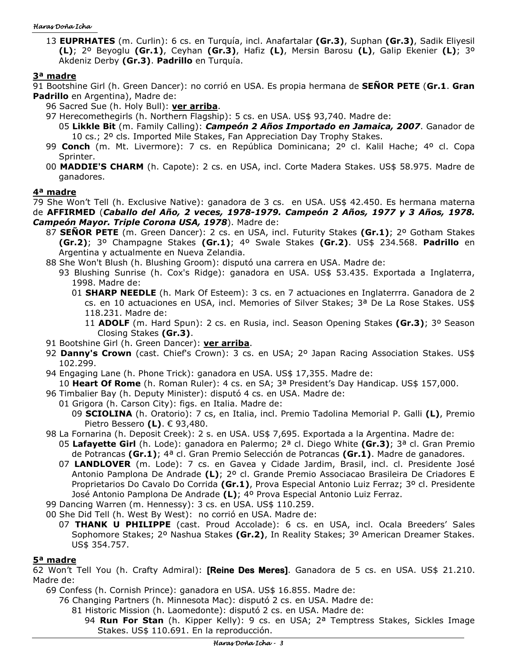#### Haras Doña Icha

13 **EUPRHATES** (m. Curlin): 6 cs. en Turquía, incl. Anafartalar **(Gr.3)**, Suphan **(Gr.3)**, Sadik Eliyesil **(L)**; 2º Beyoglu **(Gr.1)**, Ceyhan **(Gr.3)**, Hafiz **(L)**, Mersin Barosu **(L)**, Galip Ekenier **(L)**; 3º Akdeniz Derby **(Gr.3)**. **Padrillo** en Turquía.

## **3ª madre**

91 Bootshine Girl (h. Green Dancer): no corrió en USA. Es propia hermana de **SEÑOR PETE** (**Gr.1**. **Gran Padrillo** en Argentina), Madre de:

- 96 Sacred Sue (h. Holy Bull): **ver arriba**.
	- 97 Herecomethegirls (h. Northern Flagship): 5 cs. en USA. US\$ 93,740. Madre de:
		- 05 **Likkle Bit** (m. Family Calling): *Campeón 2 Años Importado en Jamaica, 2007*. Ganador de 10 cs.; 2º cls. Imported Mile Stakes, Fan Appreciation Day Trophy Stakes.
	- 99 **Conch** (m. Mt. Livermore): 7 cs. en República Dominicana; 2º cl. Kalil Hache; 4º cl. Copa Sprinter.
	- 00 **MADDIE'S CHARM** (h. Capote): 2 cs. en USA, incl. Corte Madera Stakes. US\$ 58.975. Madre de ganadores.

## **4ª madre**

- 79 She Won't Tell (h. Exclusive Native): ganadora de 3 cs. en USA. US\$ 42.450. Es hermana materna
- de **AFFIRMED** (*Caballo del Año, 2 veces, 1978-1979. Campeón 2 Años, 1977 y 3 Años, 1978. Campeón Mayor. Triple Corona USA, 1978*). Madre de:
	- 87 **SEÑOR PETE** (m. Green Dancer): 2 cs. en USA, incl. Futurity Stakes **(Gr.1)**; 2º Gotham Stakes **(Gr.2)**; 3º Champagne Stakes **(Gr.1)**; 4º Swale Stakes **(Gr.2)**. US\$ 234.568. **Padrillo** en Argentina y actualmente en Nueva Zelandia.
	- 88 She Won't Blush (h. Blushing Groom): disputó una carrera en USA. Madre de:
		- 93 Blushing Sunrise (h. Cox's Ridge): ganadora en USA. US\$ 53.435. Exportada a Inglaterra, 1998. Madre de:
			- 01 **SHARP NEEDLE** (h. Mark Of Esteem): 3 cs. en 7 actuaciones en Inglaterrra. Ganadora de 2 cs. en 10 actuaciones en USA, incl. Memories of Silver Stakes; 3ª De La Rose Stakes. US\$ 118.231. Madre de:
				- 11 **ADOLF** (m. Hard Spun): 2 cs. en Rusia, incl. Season Opening Stakes **(Gr.3)**; 3º Season Closing Stakes **(Gr.3)**.
	- 91 Bootshine Girl (h. Green Dancer): **ver arriba**.
	- 92 **Danny's Crown** (cast. Chief's Crown): 3 cs. en USA; 2º Japan Racing Association Stakes. US\$ 102.299.
	- 94 Engaging Lane (h. Phone Trick): ganadora en USA. US\$ 17,355. Madre de:
	- 10 **Heart Of Rome** (h. Roman Ruler): 4 cs. en SA; 3ª President's Day Handicap. US\$ 157,000.
	- 96 Timbalier Bay (h. Deputy Minister): disputó 4 cs. en USA. Madre de:
		- 01 Grigora (h. Carson City): figs. en Italia. Madre de:
			- 09 **SCIOLINA** (h. Oratorio): 7 cs, en Italia, incl. Premio Tadolina Memorial P. Galli **(L)**, Premio Pietro Bessero **(L)**. € 93,480.
	- 98 La Fornarina (h. Deposit Creek): 2 s. en USA. US\$ 7,695. Exportada a la Argentina. Madre de:
		- 05 **Lafayette Girl** (h. Lode): ganadora en Palermo; 2ª cl. Diego White **(Gr.3)**; 3ª cl. Gran Premio de Potrancas **(Gr.1)**; 4ª cl. Gran Premio Selección de Potrancas **(Gr.1)**. Madre de ganadores.
		- 07 **LANDLOVER** (m. Lode): 7 cs. en Gavea y Cidade Jardim, Brasil, incl. cl. Presidente José Antonio Pamplona De Andrade **(L)**; 2º cl. Grande Premio Associacao Brasileira De Criadores E Proprietarios Do Cavalo Do Corrida **(Gr.1)**, Prova Especial Antonio Luiz Ferraz; 3º cl. Presidente José Antonio Pamplona De Andrade **(L)**; 4º Prova Especial Antonio Luiz Ferraz.

99 Dancing Warren (m. Hennessy): 3 cs. en USA. US\$ 110.259.

00 She Did Tell (h. West By West): no corrió en USA. Madre de:

07 **THANK U PHILIPPE** (cast. Proud Accolade): 6 cs. en USA, incl. Ocala Breeders' Sales Sophomore Stakes; 2º Nashua Stakes **(Gr.2)**, In Reality Stakes; 3º American Dreamer Stakes. US\$ 354.757.

### **5ª madre**

62 Won't Tell You (h. Crafty Admiral): **[Reine Des Meres]**. Ganadora de 5 cs. en USA. US\$ 21.210. Madre de:

69 Confess (h. Cornish Prince): ganadora en USA. US\$ 16.855. Madre de:

76 Changing Partners (h. Minnesota Mac): disputó 2 cs. en USA. Madre de:

81 Historic Mission (h. Laomedonte): disputó 2 cs. en USA. Madre de:

94 **Run For Stan** (h. Kipper Kelly): 9 cs. en USA; 2ª Temptress Stakes, Sickles Image Stakes. US\$ 110.691. En la reproducción.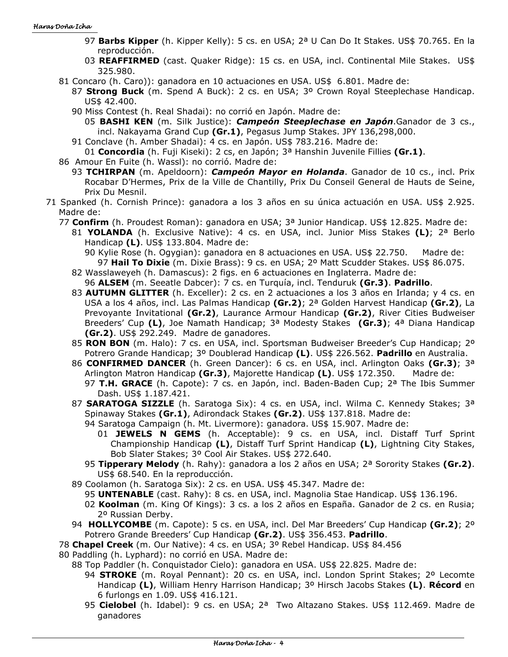- 97 **Barbs Kipper** (h. Kipper Kelly): 5 cs. en USA; 2ª U Can Do It Stakes. US\$ 70.765. En la reproducción.
- 03 **REAFFIRMED** (cast. Quaker Ridge): 15 cs. en USA, incl. Continental Mile Stakes. US\$ 325.980.
- 81 Concaro (h. Caro)): ganadora en 10 actuaciones en USA. US\$ 6.801. Madre de:
	- 87 **Strong Buck** (m. Spend A Buck): 2 cs. en USA; 3º Crown Royal Steeplechase Handicap. US\$ 42.400.
	- 90 Miss Contest (h. Real Shadai): no corrió en Japón. Madre de:

05 **BASHI KEN** (m. Silk Justice): *Campeón Steeplechase en Japón*.Ganador de 3 cs., incl. Nakayama Grand Cup **(Gr.1)**, Pegasus Jump Stakes. JPY 136,298,000.

- 91 Conclave (h. Amber Shadai): 4 cs. en Japón. US\$ 783.216. Madre de:
- 01 **Concordia** (h. Fuji Kiseki): 2 cs, en Japón; 3ª Hanshin Juvenile Fillies **(Gr.1)**.
- 86 Amour En Fuite (h. Wassl): no corrió. Madre de:
	- 93 **TCHIRPAN** (m. Apeldoorn): *Campeón Mayor en Holanda*. Ganador de 10 cs., incl. Prix Rocabar D'Hermes, Prix de la Ville de Chantilly, Prix Du Conseil General de Hauts de Seine, Prix Du Mesnil.
- 71 Spanked (h. Cornish Prince): ganadora a los 3 años en su única actuación en USA. US\$ 2.925. Madre de:
	- 77 **Confirm** (h. Proudest Roman): ganadora en USA; 3ª Junior Handicap. US\$ 12.825. Madre de:
		- 81 **YOLANDA** (h. Exclusive Native): 4 cs. en USA, incl. Junior Miss Stakes **(L)**; 2ª Berlo Handicap **(L)**. US\$ 133.804. Madre de:
			- 90 Kylie Rose (h. Ogygian): ganadora en 8 actuaciones en USA. US\$ 22.750. Madre de: 97 **Hail To Dixie** (m. Dixie Brass): 9 cs. en USA; 2º Matt Scudder Stakes. US\$ 86.075.
		- 82 Wasslaweyeh (h. Damascus): 2 figs. en 6 actuaciones en Inglaterra. Madre de: 96 **ALSEM** (m. Seeatle Dabcer): 7 cs. en Turquía, incl. Tenduruk **(Gr.3)**. **Padrillo**.
		- 83 **AUTUMN GLITTER** (h. Exceller): 2 cs. en 2 actuaciones a los 3 años en Irlanda; y 4 cs. en USA a los 4 años, incl. Las Palmas Handicap **(Gr.2)**; 2ª Golden Harvest Handicap **(Gr.2)**, La Prevoyante Invitational **(Gr.2)**, Laurance Armour Handicap **(Gr.2)**, River Cities Budweiser Breeders' Cup **(L)**, Joe Namath Handicap; 3ª Modesty Stakes **(Gr.3)**; 4ª Diana Handicap **(Gr.2)**. US\$ 292.249. Madre de ganadores.
		- 85 **RON BON** (m. Halo): 7 cs. en USA, incl. Sportsman Budweiser Breeder's Cup Handicap; 2º Potrero Grande Handicap; 3º Doublerad Handicap **(L)**. US\$ 226.562. **Padrillo** en Australia.
		- 86 **CONFIRMED DANCER** (h. Green Dancer): 6 cs. en USA, incl. Arlington Oaks **(Gr.3)**; 3ª Arlington Matron Handicap **(Gr.3)**, Majorette Handicap **(L)**. US\$ 172.350. Madre de:
			- 97 **T.H. GRACE** (h. Capote): 7 cs. en Japón, incl. Baden-Baden Cup; 2ª The Ibis Summer Dash. US\$ 1.187.421.
		- 87 **SARATOGA SIZZLE** (h. Saratoga Six): 4 cs. en USA, incl. Wilma C. Kennedy Stakes; 3ª Spinaway Stakes **(Gr.1)**, Adirondack Stakes **(Gr.2)**. US\$ 137.818. Madre de:
			- 94 Saratoga Campaign (h. Mt. Livermore): ganadora. US\$ 15.907. Madre de:
				- 01 **JEWELS N GEMS** (h. Acceptable): 9 cs. en USA, incl. Distaff Turf Sprint Championship Handicap **(L)**, Distaff Turf Sprint Handicap **(L)**, Lightning City Stakes, Bob Slater Stakes; 3º Cool Air Stakes. US\$ 272.640.
			- 95 **Tipperary Melody** (h. Rahy): ganadora a los 2 años en USA; 2ª Sorority Stakes **(Gr.2)**. US\$ 68.540. En la reproducción.
		- 89 Coolamon (h. Saratoga Six): 2 cs. en USA. US\$ 45.347. Madre de:
			- 95 **UNTENABLE** (cast. Rahy): 8 cs. en USA, incl. Magnolia Stae Handicap. US\$ 136.196.
			- 02 **Koolman** (m. King Of Kings): 3 cs. a los 2 años en España. Ganador de 2 cs. en Rusia; 2º Russian Derby.
		- 94 **HOLLYCOMBE** (m. Capote): 5 cs. en USA, incl. Del Mar Breeders' Cup Handicap **(Gr.2)**; 2º Potrero Grande Breeders' Cup Handicap **(Gr.2)**. US\$ 356.453. **Padrillo**.
	- 78 **Chapel Creek** (m. Our Native): 4 cs. en USA; 3º Rebel Handicap. US\$ 84.456
	- 80 Paddling (h. Lyphard): no corrió en USA. Madre de:
		- 88 Top Paddler (h. Conquistador Cielo): ganadora en USA. US\$ 22.825. Madre de:
			- 94 **STROKE** (m. Royal Pennant): 20 cs. en USA, incl. London Sprint Stakes; 2º Lecomte Handicap **(L)**, William Henry Harrison Handicap; 3º Hirsch Jacobs Stakes **(L)**. **Récord** en 6 furlongs en 1.09. US\$ 416.121.
			- 95 **Cielobel** (h. Idabel): 9 cs. en USA; 2ª Two Altazano Stakes. US\$ 112.469. Madre de ganadores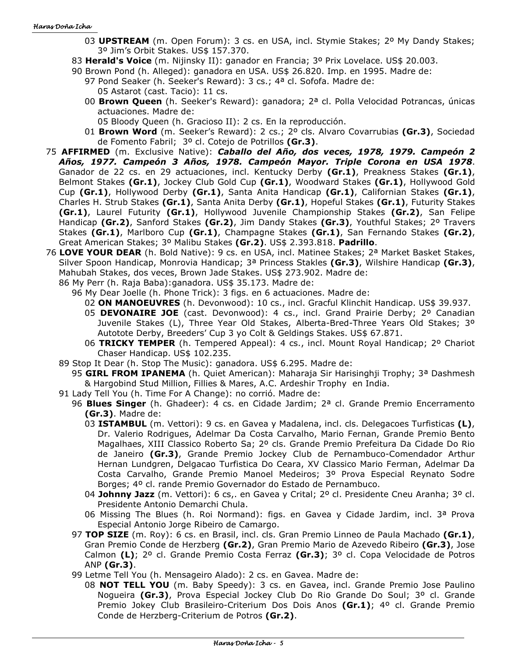- 03 **UPSTREAM** (m. Open Forum): 3 cs. en USA, incl. Stymie Stakes; 2º My Dandy Stakes; 3º Jim's Orbit Stakes. US\$ 157.370.
- 83 **Herald's Voice** (m. Nijinsky II): ganador en Francia; 3º Prix Lovelace. US\$ 20.003.
- 90 Brown Pond (h. Alleged): ganadora en USA. US\$ 26.820. Imp. en 1995. Madre de:
	- 97 Pond Seaker (h. Seeker's Reward): 3 cs.; 4<sup>a</sup> cl. Sofofa. Madre de: 05 Astarot (cast. Tacio): 11 cs.
	- 00 **Brown Queen** (h. Seeker's Reward): ganadora; 2ª cl. Polla Velocidad Potrancas, únicas actuaciones. Madre de:
		- 05 Bloody Queen (h. Gracioso II): 2 cs. En la reproducción.
	- 01 **Brown Word** (m. Seeker's Reward): 2 cs.; 2º cls. Alvaro Covarrubias **(Gr.3)**, Sociedad de Fomento Fabril; 3º cl. Cotejo de Potrillos **(Gr.3)**.
- 75 **AFFIRMED** (m. Exclusive Native): *Caballo del Año, dos veces, 1978, 1979. Campeón 2 Años, 1977. Campeón 3 Años, 1978. Campeón Mayor. Triple Corona en USA 1978*. Ganador de 22 cs. en 29 actuaciones, incl. Kentucky Derby **(Gr.1)**, Preakness Stakes **(Gr.1)**, Belmont Stakes **(Gr.1)**, Jockey Club Gold Cup **(Gr.1)**, Woodward Stakes **(Gr.1)**, Hollywood Gold Cup **(Gr.1)**, Hollywood Derby **(Gr.1)**, Santa Anita Handicap **(Gr.1)**, Californian Stakes **(Gr.1)**, Charles H. Strub Stakes **(Gr.1)**, Santa Anita Derby **(Gr.1)**, Hopeful Stakes **(Gr.1)**, Futurity Stakes **(Gr.1)**, Laurel Futurity **(Gr.1)**, Hollywood Juvenile Championship Stakes **(Gr.2)**, San Felipe Handicap **(Gr.2)**, Sanford Stakes **(Gr.2)**, Jim Dandy Stakes **(Gr.3)**, Youthful Stakes; 2º Travers Stakes **(Gr.1)**, Marlboro Cup **(Gr.1)**, Champagne Stakes **(Gr.1)**, San Fernando Stakes **(Gr.2)**, Great American Stakes; 3º Malibu Stakes **(Gr.2)**. US\$ 2.393.818. **Padrillo**.
- 76 **LOVE YOUR DEAR** (h. Bold Native): 9 cs. en USA, incl. Matinee Stakes; 2ª Market Basket Stakes, Silver Spoon Handicap, Monrovia Handicap; 3ª Princess Stakles **(Gr.3)**, Wilshire Handicap **(Gr.3)**, Mahubah Stakes, dos veces, Brown Jade Stakes. US\$ 273.902. Madre de:
	- 86 My Perr (h. Raja Baba):ganadora. US\$ 35.173. Madre de:
		- 96 My Dear Joelle (h. Phone Trick): 3 figs. en 6 actuaciones. Madre de:
			- 02 **ON MANOEUVRES** (h. Devonwood): 10 cs., incl. Gracful Klinchit Handicap. US\$ 39.937.
			- 05 **DEVONAIRE JOE** (cast. Devonwood): 4 cs., incl. Grand Prairie Derby; 2º Canadian Juvenile Stakes (L), Three Year Old Stakes, Alberta-Bred-Three Years Old Stakes; 3º Autotote Derby, Breeders' Cup 3 yo Colt & Geldings Stakes. US\$ 67.871.
			- 06 **TRICKY TEMPER** (h. Tempered Appeal): 4 cs., incl. Mount Royal Handicap; 2º Chariot Chaser Handicap. US\$ 102.235.
	- 89 Stop It Dear (h. Stop The Music): ganadora. US\$ 6.295. Madre de:
		- 95 **GIRL FROM IPANEMA** (h. Quiet American): Maharaja Sir Harisinghji Trophy; 3ª Dashmesh & Hargobind Stud Million, Fillies & Mares, A.C. Ardeshir Trophy en India.
	- 91 Lady Tell You (h. Time For A Change): no corrió. Madre de:
		- 96 **Blues Singer** (h. Ghadeer): 4 cs. en Cidade Jardim; 2ª cl. Grande Premio Encerramento **(Gr.3)**. Madre de:
			- 03 **ISTAMBUL** (m. Vettori): 9 cs. en Gavea y Madalena, incl. cls. Delegacoes Turfisticas **(L)**, Dr. Valerio Rodrigues, Adelmar Da Costa Carvalho, Mario Fernan, Grande Premio Bento Magalhaes, XIII Classico Roberto Sa; 2º cls. Grande Premio Prefeitura Da Cidade Do Rio de Janeiro **(Gr.3)**, Grande Premio Jockey Club de Pernambuco-Comendador Arthur Hernan Lundgren, Delgacao Turfistica Do Ceara, XV Classico Mario Ferman, Adelmar Da Costa Carvalho, Grande Premio Manoel Medeiros; 3º Prova Especial Reynato Sodre Borges; 4º cl. rande Premio Governador do Estado de Pernambuco.
			- 04 **Johnny Jazz** (m. Vettori): 6 cs,. en Gavea y Crital; 2º cl. Presidente Cneu Aranha; 3º cl. Presidente Antonio Demarchi Chula.
			- 06 Missing The Blues (h. Roi Normand): figs. en Gavea y Cidade Jardim, incl. 3ª Prova Especial Antonio Jorge Ribeiro de Camargo.
		- 97 **TOP SIZE** (m. Roy): 6 cs. en Brasil, incl. cls. Gran Premio Linneo de Paula Machado **(Gr.1)**, Gran Premio Conde de Herzberg **(Gr.2)**, Gran Premio Mario de Azevedo Ribeiro **(Gr.3)**, Jose Calmon **(L)**; 2º cl. Grande Premio Costa Ferraz **(Gr.3)**; 3º cl. Copa Velocidade de Potros ANP **(Gr.3)**.
		- 99 Letme Tell You (h. Mensageiro Alado): 2 cs. en Gavea. Madre de:
			- 08 **NOT TELL YOU** (m. Baby Speedy): 3 cs. en Gavea, incl. Grande Premio Jose Paulino Nogueira **(Gr.3)**, Prova Especial Jockey Club Do Rio Grande Do Soul; 3º cl. Grande Premio Jokey Club Brasileiro-Criterium Dos Dois Anos **(Gr.1)**; 4º cl. Grande Premio Conde de Herzberg-Criterium de Potros **(Gr.2)**.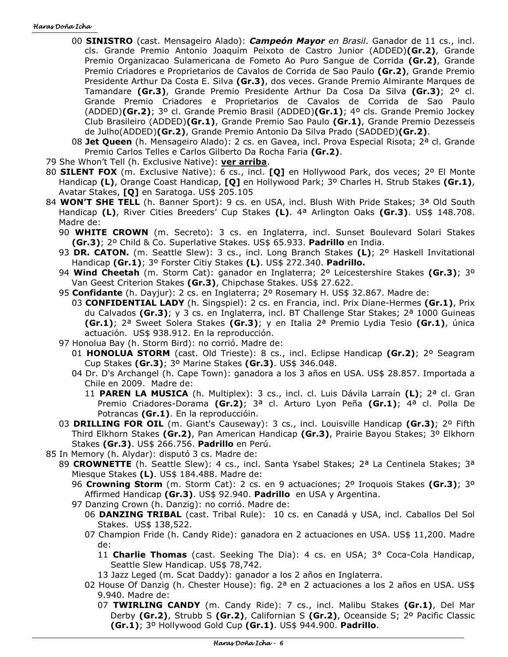#### Haras Doña Icha

- 00 **SINISTRO** (cast. Mensageiro Alado): *Campeón Mayor en Brasil*. Ganador de 11 cs., incl. cls. Grande Premio Antonio Joaquim Peixoto de Castro Junior (ADDED)**(Gr.2)**, Grande Premio Organizacao Sulamericana de Fometo Ao Puro Sangue de Corrida **(Gr.2)**, Grande Premio Criadores e Proprietarios de Cavalos de Corrida de Sao Paulo **(Gr.2)**, Grande Premio Presidente Arthur Da Costa E. Silva **(Gr.3)**, dos veces. Grande Premio Almirante Marques de Tamandare **(Gr.3)**, Grande Premio Presidente Arthur Da Cosa Da Silva **(Gr.3)**; 2º cl. Grande Premio Criadores e Proprietarios de Cavalos de Corrida de Sao Paulo (ADDED)**(Gr.2)**; 3º cl. Grande Premio Brasil (ADDED)**(Gr.1)**; 4º cls. Grande Premio Jockey Club Brasileiro (ADDED)**(Gr.1)**, Grande Premio Sao Paulo **(Gr.1)**, Grande Premio Dezesseis de Julho(ADDED)**(Gr.2)**, Grande Premio Antonio Da Silva Prado (SADDED)**(Gr.2)**.
- 08 **Jet Queen** (h. Mensageiro Alado): 2 cs. en Gavea, incl. Prova Especial Risota; 2ª cl. Grande Premio Carlos Telles e Carlos Gilberto Da Rocha Faria **(Gr.2)**.
- 79 She Whon't Tell (h. Exclusive Native): **ver arriba**.
- 80 **SILENT FOX** (m. Exclusive Native): 6 cs., incl. **[Q]** en Hollywood Park, dos veces; 2º El Monte Handicap **(L)**, Orange Coast Handicap, **[Q]** en Hollywood Park; 3º Charles H. Strub Stakes **(Gr.1)**, Avatar Stakes, **[Q]** en Saratoga. US\$ 205.105
- 84 **WON'T SHE TELL** (h. Banner Sport): 9 cs. en USA, incl. Blush With Pride Stakes; 3ª Old South Handicap **(L)**, River Cities Breeders' Cup Stakes **(L)**. 4ª Arlington Oaks **(Gr.3)**. US\$ 148.708. Madre de:
	- 90 **WHITE CROWN** (m. Secreto): 3 cs. en Inglaterra, incl. Sunset Boulevard Solari Stakes **(Gr.3)**; 2º Child & Co. Superlative Stakes. US\$ 65.933. **Padrillo** en India.
	- 93 **DR. CATON.** (m. Seattle Slew): 3 cs., incl. Long Branch Stakes **(L)**; 2º Haskell Invitational Handicap **(Gr.1)**; 3º Forster Citiy Stakes **(L)**. US\$ 272.340. **Padrillo.**
	- 94 **Wind Cheetah** (m. Storm Cat): ganador en Inglaterra; 2º Leicestershire Stakes **(Gr.3)**; 3º Van Geest Criterion Stakes **(Gr.3)**, Chipchase Stakes. US\$ 27.622.
	- 95 **Confidante** (h. Dayjur): 2 cs. en Inglaterra; 2º Rosemary H. US\$ 32.867. Madre de:
		- 03 **CONFIDENTIAL LADY** (h. Singspiel): 2 cs. en Francia, incl. Prix Diane-Hermes **(Gr.1)**, Prix du Calvados **(Gr.3)**; y 3 cs. en Inglaterra, incl. BT Challenge Star Stakes; 2ª 1000 Guineas **(Gr.1)**; 2ª Sweet Solera Stakes **(Gr.3)**; y en Italia 2ª Premio Lydia Tesio **(Gr.1)**, única actuación. US\$ 938.912. En la reproducción.
	- 97 Honolua Bay (h. Storm Bird): no corrió. Madre de:
		- 01 **HONOLUA STORM** (cast. Old Trieste): 8 cs., incl. Eclipse Handicap **(Gr.2)**; 2º Seagram Cup Stakes **(Gr.3)**; 3º Marine Stakes **(Gr.3)**. US\$ 346.048.
		- 04 Dr. D's Archangel (h. Cape Town): ganadora a los 3 años en USA. US\$ 28.857. Importada a Chile en 2009. Madre de:
			- 11 **PAREN LA MUSICA** (h. Multiplex): 3 cs., incl. cl. Luis Dávila Larraín **(L)**; 2ª cl. Gran Premio Criadores-Dorama **(Gr.2)**; 3ª cl. Arturo Lyon Peña **(Gr.1)**; 4ª cl. Polla De Potrancas **(Gr.1)**. En la reproduccióin.
	- 03 **DRILLING FOR OIL** (m. Giant's Causeway): 3 cs., incl. Louisville Handicap **(Gr.3)**; 2º Fifth Third Elkhorn Stakes **(Gr.2)**, Pan American Handicap **(Gr.3)**, Prairie Bayou Stakes; 3º Elkhorn Stakes **(Gr.3)**. US\$ 266.756. **Padrillo** en Perú.
- 85 In Memory (h. Alydar): disputó 3 cs. Madre de:
	- 89 **CROWNETTE** (h. Seattle Slew): 4 cs., incl. Santa Ysabel Stakes; 2ª La Centinela Stakes; 3ª Miesque Stakes **(L)**. US\$ 184.488. Madre de:
		- 96 **Crowning Storm** (m. Storm Cat): 2 cs. en 9 actuaciones; 2º Iroquois Stakes **(Gr.3)**; 3º Affirmed Handicap **(Gr.3)**. US\$ 92.940. **Padrillo** en USA y Argentina.
		- 97 Danzing Crown (h. Danzig): no corrió. Madre de:
			- 06 **DANZING TRIBAL** (cast. Tribal Rule): 10 cs. en Canadá y USA, incl. Caballos Del Sol Stakes. US\$ 138,522.
			- 07 Champion Fride (h. Candy Ride): ganadora en 2 actuaciones en USA. US\$ 11,200. Madre de:
				- 11 **Charlie Thomas** (cast. Seeking The Dia): 4 cs. en USA; 3° Coca-Cola Handicap, Seattle Slew Handicap. US\$ 78,742.
				- 13 Jazz Leged (m. Scat Daddy): ganador a los 2 años en Inglaterra.
			- 02 House Of Danzig (h. Chester House): fig.  $2<sup>a</sup>$  en 2 actuaciones a los 2 años en USA. US\$ 9.940. Madre de:
				- 07 **TWIRLING CANDY** (m. Candy Ride): 7 cs., incl. Malibu Stakes **(Gr.1)**, Del Mar Derby **(Gr.2)**, Strubb S **(Gr.2)**, Californian S **(Gr.2)**, Oceanside S; 2º Pacific Classic **(Gr.1)**; 3º Hollywood Gold Cup **(Gr.1)**. US\$ 944.900. **Padrillo**.